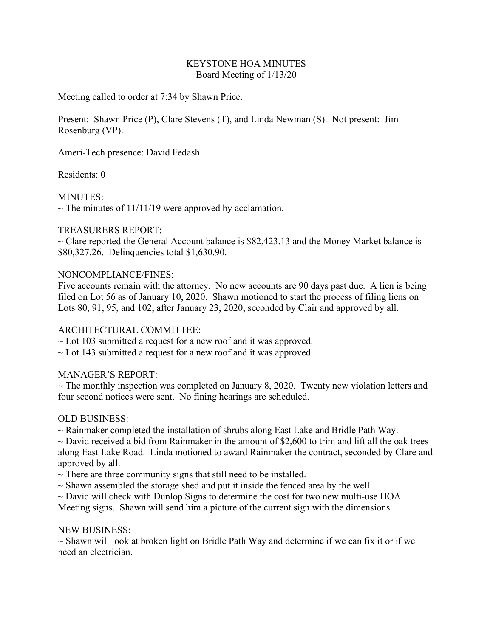#### KEYSTONE HOA MINUTES Board Meeting of 1/13/20

Meeting called to order at 7:34 by Shawn Price.

Present: Shawn Price (P), Clare Stevens (T), and Linda Newman (S). Not present: Jim Rosenburg (VP).

Ameri-Tech presence: David Fedash

Residents: 0

MINUTES:

 $\sim$  The minutes of 11/11/19 were approved by acclamation.

### TREASURERS REPORT:

 $\sim$  Clare reported the General Account balance is \$82,423.13 and the Money Market balance is \$80,327.26. Delinquencies total \$1,630.90.

### NONCOMPLIANCE/FINES:

Five accounts remain with the attorney. No new accounts are 90 days past due. A lien is being filed on Lot 56 as of January 10, 2020. Shawn motioned to start the process of filing liens on Lots 80, 91, 95, and 102, after January 23, 2020, seconded by Clair and approved by all.

# ARCHITECTURAL COMMITTEE:

 $\sim$  Lot 103 submitted a request for a new roof and it was approved.

 $\sim$  Lot 143 submitted a request for a new roof and it was approved.

# MANAGER'S REPORT:

 $\sim$  The monthly inspection was completed on January 8, 2020. Twenty new violation letters and four second notices were sent. No fining hearings are scheduled.

# OLD BUSINESS:

 $\sim$  Rainmaker completed the installation of shrubs along East Lake and Bridle Path Way.

 $\sim$  David received a bid from Rainmaker in the amount of \$2,600 to trim and lift all the oak trees along East Lake Road. Linda motioned to award Rainmaker the contract, seconded by Clare and approved by all.

 $\sim$  There are three community signs that still need to be installed.

 $\sim$  Shawn assembled the storage shed and put it inside the fenced area by the well.

 $\sim$  David will check with Dunlop Signs to determine the cost for two new multi-use HOA

Meeting signs. Shawn will send him a picture of the current sign with the dimensions.

#### NEW BUSINESS:

 $\sim$  Shawn will look at broken light on Bridle Path Way and determine if we can fix it or if we need an electrician.